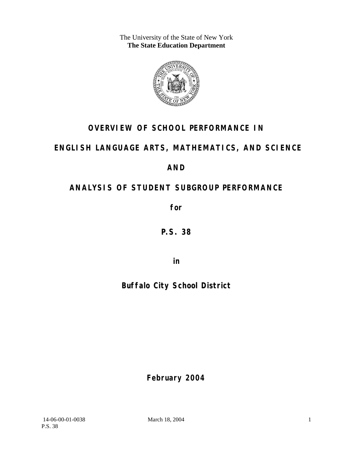The University of the State of New York **The State Education Department** 



# **OVERVIEW OF SCHOOL PERFORMANCE IN**

# **ENGLISH LANGUAGE ARTS, MATHEMATICS, AND SCIENCE**

**AND** 

# **ANALYSIS OF STUDENT SUBGROUP PERFORMANCE**

**for** 

**P.S. 38**

**in** 

# **Buffalo City School District**

**February 2004**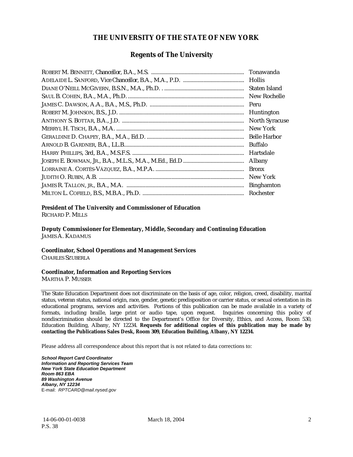#### **THE UNIVERSITY OF THE STATE OF NEW YORK**

#### **Regents of The University**

| Tonawanda             |
|-----------------------|
| Hollis                |
| Staten Island         |
| New Rochelle          |
| Peru                  |
| Huntington            |
| <b>North Syracuse</b> |
| New York              |
| <b>Belle Harbor</b>   |
| Buffalo               |
| Hartsdale             |
| Albany                |
| <b>Bronx</b>          |
| New York              |
| <b>Binghamton</b>     |
| Rochester             |

#### **President of The University and Commissioner of Education**

RICHARD P. MILLS

**Deputy Commissioner for Elementary, Middle, Secondary and Continuing Education**  JAMES A. KADAMUS

#### **Coordinator, School Operations and Management Services**

CHARLES SZUBERLA

#### **Coordinator, Information and Reporting Services**

MARTHA P. MUSSER

The State Education Department does not discriminate on the basis of age, color, religion, creed, disability, marital status, veteran status, national origin, race, gender, genetic predisposition or carrier status, or sexual orientation in its educational programs, services and activities. Portions of this publication can be made available in a variety of formats, including braille, large print or audio tape, upon request. Inquiries concerning this policy of nondiscrimination should be directed to the Department's Office for Diversity, Ethics, and Access, Room 530, Education Building, Albany, NY 12234. **Requests for additional copies of this publication may be made by contacting the Publications Sales Desk, Room 309, Education Building, Albany, NY 12234.** 

Please address all correspondence about this report that is not related to data corrections to:

*School Report Card Coordinator Information and Reporting Services Team New York State Education Department Room 863 EBA 89 Washington Avenue Albany, NY 12234*  E-mail: *RPTCARD@mail.nysed.gov*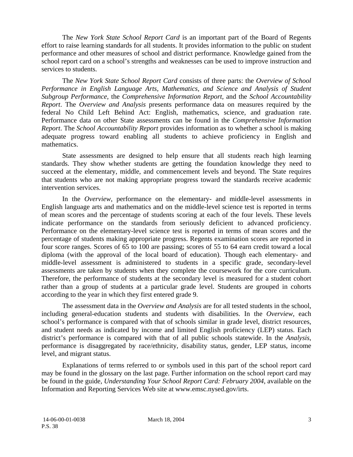The *New York State School Report Card* is an important part of the Board of Regents effort to raise learning standards for all students. It provides information to the public on student performance and other measures of school and district performance. Knowledge gained from the school report card on a school's strengths and weaknesses can be used to improve instruction and services to students.

The *New York State School Report Card* consists of three parts: the *Overview of School Performance in English Language Arts, Mathematics, and Science and Analysis of Student Subgroup Performance,* the *Comprehensive Information Report,* and the *School Accountability Report*. The *Overview and Analysis* presents performance data on measures required by the federal No Child Left Behind Act: English, mathematics, science, and graduation rate. Performance data on other State assessments can be found in the *Comprehensive Information Report*. The *School Accountability Report* provides information as to whether a school is making adequate progress toward enabling all students to achieve proficiency in English and mathematics.

State assessments are designed to help ensure that all students reach high learning standards. They show whether students are getting the foundation knowledge they need to succeed at the elementary, middle, and commencement levels and beyond. The State requires that students who are not making appropriate progress toward the standards receive academic intervention services.

In the *Overview*, performance on the elementary- and middle-level assessments in English language arts and mathematics and on the middle-level science test is reported in terms of mean scores and the percentage of students scoring at each of the four levels. These levels indicate performance on the standards from seriously deficient to advanced proficiency. Performance on the elementary-level science test is reported in terms of mean scores and the percentage of students making appropriate progress. Regents examination scores are reported in four score ranges. Scores of 65 to 100 are passing; scores of 55 to 64 earn credit toward a local diploma (with the approval of the local board of education). Though each elementary- and middle-level assessment is administered to students in a specific grade, secondary-level assessments are taken by students when they complete the coursework for the core curriculum. Therefore, the performance of students at the secondary level is measured for a student cohort rather than a group of students at a particular grade level. Students are grouped in cohorts according to the year in which they first entered grade 9.

The assessment data in the *Overview and Analysis* are for all tested students in the school, including general-education students and students with disabilities. In the *Overview*, each school's performance is compared with that of schools similar in grade level, district resources, and student needs as indicated by income and limited English proficiency (LEP) status. Each district's performance is compared with that of all public schools statewide. In the *Analysis*, performance is disaggregated by race/ethnicity, disability status, gender, LEP status, income level, and migrant status.

Explanations of terms referred to or symbols used in this part of the school report card may be found in the glossary on the last page. Further information on the school report card may be found in the guide, *Understanding Your School Report Card: February 2004*, available on the Information and Reporting Services Web site at www.emsc.nysed.gov/irts.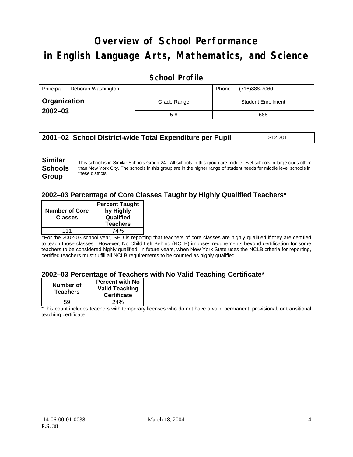# **Overview of School Performance in English Language Arts, Mathematics, and Science**

### **School Profile**

| Principal:<br>Deborah Washington |             | (716)888-7060<br>Phone:   |
|----------------------------------|-------------|---------------------------|
| <b>Organization</b>              | Grade Range | <b>Student Enrollment</b> |
| $2002 - 03$                      | $5-8$       | 686                       |

| 2001–02 School District-wide Total Expenditure per Pupil | \$12,201 |
|----------------------------------------------------------|----------|
|----------------------------------------------------------|----------|

### **2002–03 Percentage of Core Classes Taught by Highly Qualified Teachers\***

| <b>Number of Core</b><br><b>Classes</b> | <b>Percent Taught</b><br>by Highly<br>Qualified<br><b>Teachers</b> |
|-----------------------------------------|--------------------------------------------------------------------|
| 111                                     | 74%                                                                |

\*For the 2002-03 school year, SED is reporting that teachers of core classes are highly qualified if they are certified to teach those classes. However, No Child Left Behind (NCLB) imposes requirements beyond certification for some teachers to be considered highly qualified. In future years, when New York State uses the NCLB criteria for reporting, certified teachers must fulfill all NCLB requirements to be counted as highly qualified.

#### **2002–03 Percentage of Teachers with No Valid Teaching Certificate\***

| Number of<br><b>Teachers</b> | <b>Percent with No</b><br><b>Valid Teaching</b><br><b>Certificate</b> |
|------------------------------|-----------------------------------------------------------------------|
| 59                           | 24%                                                                   |

\*This count includes teachers with temporary licenses who do not have a valid permanent, provisional, or transitional teaching certificate.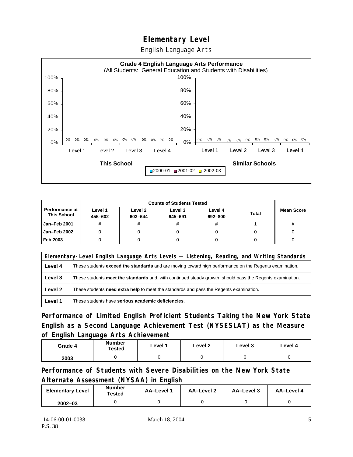# **Elementary Level**

English Language Arts



|                                      |                    | <b>Counts of Students Tested</b> |                    |                    |              |                   |
|--------------------------------------|--------------------|----------------------------------|--------------------|--------------------|--------------|-------------------|
| Performance at<br><b>This School</b> | Level 1<br>455-602 | Level 2<br>603-644               | Level 3<br>645-691 | Level 4<br>692-800 | <b>Total</b> | <b>Mean Score</b> |
| Jan-Feb 2001                         |                    |                                  |                    | #                  |              |                   |
| Jan-Feb 2002                         |                    |                                  |                    |                    |              |                   |
| Feb 2003                             |                    |                                  |                    |                    |              |                   |

|         | Elementary-Level English Language Arts Levels — Listening, Reading, and Writing Standards                     |  |  |  |  |
|---------|---------------------------------------------------------------------------------------------------------------|--|--|--|--|
| Level 4 | These students <b>exceed the standards</b> and are moving toward high performance on the Regents examination. |  |  |  |  |
| Level 3 | These students meet the standards and, with continued steady growth, should pass the Regents examination.     |  |  |  |  |
| Level 2 | These students <b>need extra help</b> to meet the standards and pass the Regents examination.                 |  |  |  |  |
| Level 1 | These students have serious academic deficiencies.                                                            |  |  |  |  |

**Performance of Limited English Proficient Students Taking the New York State English as a Second Language Achievement Test (NYSESLAT) as the Measure of English Language Arts Achievement**

| Grade 4 | <b>Number</b><br>Tested | Level 1 | Level 2 | Level 3 | Level 4 |
|---------|-------------------------|---------|---------|---------|---------|
| 2003    |                         |         |         |         |         |

**Performance of Students with Severe Disabilities on the New York State Alternate Assessment (NYSAA) in English** 

| <b>Elementary Level</b> | <b>Number</b><br>Tested | <b>AA-Level 1</b> | AA-Level 2 | AA-Level 3 | AA-Level 4 |
|-------------------------|-------------------------|-------------------|------------|------------|------------|
| $2002 - 03$             |                         |                   |            |            |            |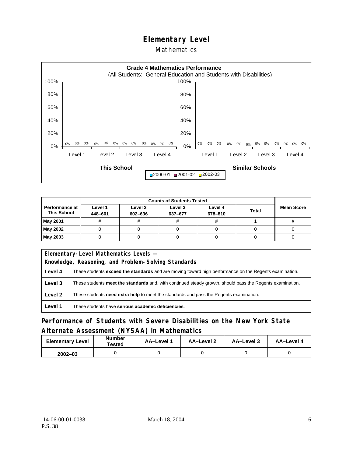### **Elementary Level**

#### **Mathematics**



|                                        |                    | <b>Counts of Students Tested</b> |                    |                    |              |                   |
|----------------------------------------|--------------------|----------------------------------|--------------------|--------------------|--------------|-------------------|
| Performance at I<br><b>This School</b> | Level 1<br>448-601 | Level 2<br>602-636               | Level 3<br>637-677 | Level 4<br>678-810 | <b>Total</b> | <b>Mean Score</b> |
| May 2001                               | #                  |                                  |                    | #                  |              |                   |
| May 2002                               |                    |                                  |                    |                    |              |                   |
| May 2003                               |                    |                                  |                    |                    |              |                   |

|         | Elementary-Level Mathematics Levels -                                                                     |  |  |  |
|---------|-----------------------------------------------------------------------------------------------------------|--|--|--|
|         | Knowledge, Reasoning, and Problem-Solving Standards                                                       |  |  |  |
| Level 4 | These students exceed the standards and are moving toward high performance on the Regents examination.    |  |  |  |
| Level 3 | These students meet the standards and, with continued steady growth, should pass the Regents examination. |  |  |  |
| Level 2 | These students need extra help to meet the standards and pass the Regents examination.                    |  |  |  |
| Level 1 | These students have serious academic deficiencies.                                                        |  |  |  |

### **Performance of Students with Severe Disabilities on the New York State Alternate Assessment (NYSAA) in Mathematics**

| <b>Elementary Level</b> | <b>Number</b><br>Tested | AA-Level 1 | AA-Level 2 | AA-Level 3 | AA-Level 4 |
|-------------------------|-------------------------|------------|------------|------------|------------|
| $2002 - 03$             |                         |            |            |            |            |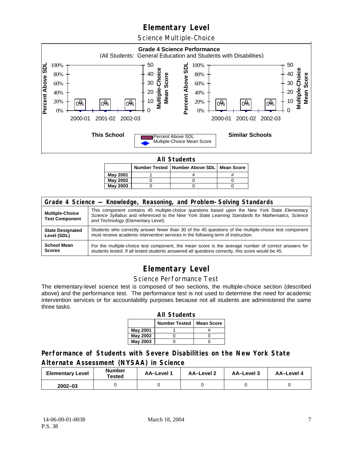## **Elementary Level**

Science Multiple-Choice



**All Students** 

|                 | Number Tested   Number Above SDL   Mean Score |  |
|-----------------|-----------------------------------------------|--|
| <b>May 2001</b> |                                               |  |
| <b>May 2002</b> |                                               |  |
| May 2003        |                                               |  |

| Grade 4 Science - Knowledge, Reasoning, and Problem-Solving Standards |                                                                                                                                                                                                                                          |  |  |  |  |
|-----------------------------------------------------------------------|------------------------------------------------------------------------------------------------------------------------------------------------------------------------------------------------------------------------------------------|--|--|--|--|
| <b>Multiple-Choice</b><br><b>Test Component</b>                       | This component contains 45 multiple-choice questions based upon the New York State Elementary<br>Science Syllabus and referenced to the New York State Learning Standards for Mathematics, Science<br>and Technology (Elementary Level). |  |  |  |  |
| <b>State Designated</b>                                               | Students who correctly answer fewer than 30 of the 45 questions of the multiple-choice test component                                                                                                                                    |  |  |  |  |
| Level (SDL)                                                           | must receive academic intervention services in the following term of instruction.                                                                                                                                                        |  |  |  |  |
| <b>School Mean</b>                                                    | For the multiple-choice test component, the mean score is the average number of correct answers for                                                                                                                                      |  |  |  |  |
| <b>Scores</b>                                                         | students tested. If all tested students answered all questions correctly, this score would be 45.                                                                                                                                        |  |  |  |  |

# **Elementary Level**

#### Science Performance Test

The elementary-level science test is composed of two sections, the multiple-choice section (described above) and the performance test. The performance test is not used to determine the need for academic intervention services or for accountability purposes because not all students are administered the same three tasks.

| <b>All Students</b>                       |  |  |  |  |  |
|-------------------------------------------|--|--|--|--|--|
| <b>Number Tested</b><br><b>Mean Score</b> |  |  |  |  |  |
| May 2001                                  |  |  |  |  |  |
| May 2002                                  |  |  |  |  |  |
| <b>May 2003</b>                           |  |  |  |  |  |

#### **Performance of Students with Severe Disabilities on the New York State Alternate Assessment (NYSAA) in Science**

| <b>Elementary Level</b> | <b>Number</b><br>Tested | AA-Level 1 | <b>AA-Level 2</b> | AA-Level 3 | AA-Level 4 |
|-------------------------|-------------------------|------------|-------------------|------------|------------|
| $2002 - 03$             |                         |            |                   |            |            |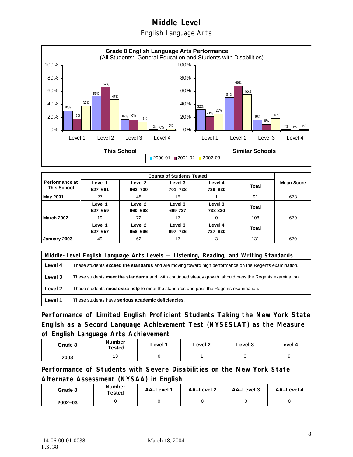English Language Arts



|                                             |                    | <b>Counts of Students Tested</b> |                    |                    |              |                   |  |  |
|---------------------------------------------|--------------------|----------------------------------|--------------------|--------------------|--------------|-------------------|--|--|
| <b>Performance at</b><br><b>This School</b> | Level 1<br>527-661 | Level 2<br>662-700               | Level 3<br>701-738 | Level 4<br>739-830 | <b>Total</b> | <b>Mean Score</b> |  |  |
| May 2001                                    | 27                 | 48                               | 15                 |                    | 91           | 678               |  |  |
|                                             | Level 1<br>527-659 | Level 2<br>660-698               | Level 3<br>699-737 | Level 3<br>738-830 | <b>Total</b> |                   |  |  |
| <b>March 2002</b>                           | 19                 | 72                               | 17                 | $\Omega$           | 108          | 679               |  |  |
|                                             | Level 1<br>527-657 | Level 2<br>658-696               | Level 3<br>697-736 | Level 4<br>737-830 | <b>Total</b> |                   |  |  |
| January 2003                                | 49                 | 62                               | 17                 | 3                  | 131          | 670               |  |  |

|         | Middle-Level English Language Arts Levels — Listening, Reading, and Writing Standards                         |  |  |  |  |
|---------|---------------------------------------------------------------------------------------------------------------|--|--|--|--|
| Level 4 | These students <b>exceed the standards</b> and are moving toward high performance on the Regents examination. |  |  |  |  |
| Level 3 | These students meet the standards and, with continued steady growth, should pass the Regents examination.     |  |  |  |  |
| Level 2 | These students <b>need extra help</b> to meet the standards and pass the Regents examination.                 |  |  |  |  |
| Level 1 | These students have serious academic deficiencies.                                                            |  |  |  |  |

**Performance of Limited English Proficient Students Taking the New York State English as a Second Language Achievement Test (NYSESLAT) as the Measure of English Language Arts Achievement**

| Grade 8 | Number<br>Tested     | Level 1 | Level 2 | Level 3 | Level 4 |
|---------|----------------------|---------|---------|---------|---------|
| 2003    | $\overline{A}$<br>∪ו |         |         |         |         |

**Performance of Students with Severe Disabilities on the New York State Alternate Assessment (NYSAA) in English** 

| Grade 8     | Number<br>Tested | AA-Level 1 | AA-Level 2 | AA-Level 3 | AA-Level 4 |
|-------------|------------------|------------|------------|------------|------------|
| $2002 - 03$ |                  |            |            |            |            |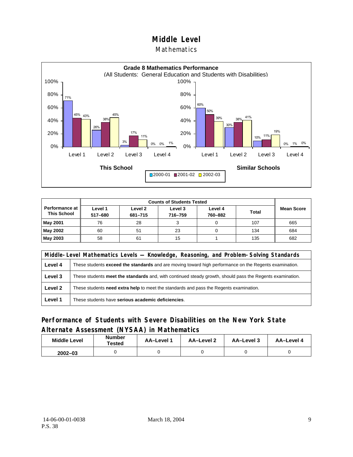#### **Mathematics**



| <b>Counts of Students Tested</b>     |                    |                    |                    |                    |              |                   |
|--------------------------------------|--------------------|--------------------|--------------------|--------------------|--------------|-------------------|
| Performance at<br><b>This School</b> | Level 1<br>517-680 | Level 2<br>681-715 | Level 3<br>716-759 | Level 4<br>760-882 | <b>Total</b> | <b>Mean Score</b> |
| <b>May 2001</b>                      | 76                 | 28                 |                    |                    | 107          | 665               |
| May 2002                             | 60                 | 51                 | 23                 |                    | 134          | 684               |
| May 2003                             | 58                 | 61                 | 15                 |                    | 135          | 682               |

|         | Middle-Level Mathematics Levels — Knowledge, Reasoning, and Problem-Solving Standards                         |  |  |  |  |
|---------|---------------------------------------------------------------------------------------------------------------|--|--|--|--|
| Level 4 | These students <b>exceed the standards</b> and are moving toward high performance on the Regents examination. |  |  |  |  |
| Level 3 | These students meet the standards and, with continued steady growth, should pass the Regents examination.     |  |  |  |  |
| Level 2 | These students <b>need extra help</b> to meet the standards and pass the Regents examination.                 |  |  |  |  |
| Level 1 | These students have serious academic deficiencies.                                                            |  |  |  |  |

### **Performance of Students with Severe Disabilities on the New York State Alternate Assessment (NYSAA) in Mathematics**

| <b>Middle Level</b> | <b>Number</b><br>Tested | <b>AA–Level</b> 1 | AA-Level 2 | AA-Level 3 | AA-Level 4 |
|---------------------|-------------------------|-------------------|------------|------------|------------|
| $2002 - 03$         |                         |                   |            |            |            |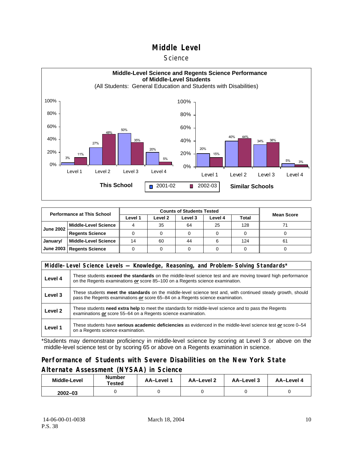#### **Science**



| <b>Performance at This School</b>   |                             |         |         |         |         |       |                   |
|-------------------------------------|-----------------------------|---------|---------|---------|---------|-------|-------------------|
|                                     |                             | Level 1 | Level 2 | Level 3 | Level 4 | Total | <b>Mean Score</b> |
| <b>June 2002</b>                    | <b>Middle-Level Science</b> |         | 35      | 64      | 25      | 128   |                   |
|                                     | <b>Regents Science</b>      |         |         |         |         |       |                   |
| January/                            | <b>Middle-Level Science</b> | 14      | 60      | 44      |         | 124   | 61                |
| June 2003<br><b>Regents Science</b> |                             |         |         |         |         |       |                   |

| Middle-Level Science Levels — Knowledge, Reasoning, and Problem-Solving Standards* |                                                                                                                                                                                                     |  |  |  |  |  |  |
|------------------------------------------------------------------------------------|-----------------------------------------------------------------------------------------------------------------------------------------------------------------------------------------------------|--|--|--|--|--|--|
| Level 4                                                                            | These students <b>exceed the standards</b> on the middle-level science test and are moving toward high performance<br>on the Regents examinations or score 85-100 on a Regents science examination. |  |  |  |  |  |  |
| Level 3                                                                            | These students meet the standards on the middle-level science test and, with continued steady growth, should<br>pass the Regents examinations or score 65–84 on a Regents science examination.      |  |  |  |  |  |  |
| Level 2                                                                            | These students need extra help to meet the standards for middle-level science and to pass the Regents<br>examinations or score 55-64 on a Regents science examination.                              |  |  |  |  |  |  |
| Level 1                                                                            | These students have serious academic deficiencies as evidenced in the middle-level science test or score 0–54<br>on a Regents science examination.                                                  |  |  |  |  |  |  |

\*Students may demonstrate proficiency in middle-level science by scoring at Level 3 or above on the middle-level science test or by scoring 65 or above on a Regents examination in science.

#### **Performance of Students with Severe Disabilities on the New York State Alternate Assessment (NYSAA) in Science**

| Middle-Level | <b>Number</b><br>Tested | AA-Level 1 | AA-Level 2 | AA-Level 3 | AA-Level 4 |  |
|--------------|-------------------------|------------|------------|------------|------------|--|
| $2002 - 03$  |                         |            |            |            |            |  |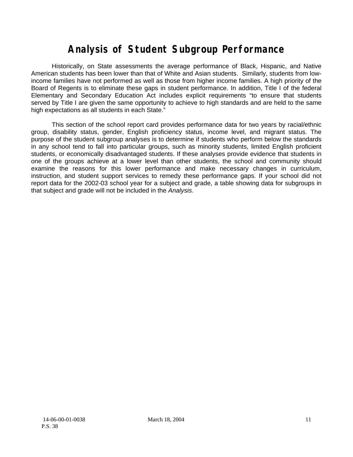# **Analysis of Student Subgroup Performance**

Historically, on State assessments the average performance of Black, Hispanic, and Native American students has been lower than that of White and Asian students. Similarly, students from lowincome families have not performed as well as those from higher income families. A high priority of the Board of Regents is to eliminate these gaps in student performance. In addition, Title I of the federal Elementary and Secondary Education Act includes explicit requirements "to ensure that students served by Title I are given the same opportunity to achieve to high standards and are held to the same high expectations as all students in each State."

This section of the school report card provides performance data for two years by racial/ethnic group, disability status, gender, English proficiency status, income level, and migrant status. The purpose of the student subgroup analyses is to determine if students who perform below the standards in any school tend to fall into particular groups, such as minority students, limited English proficient students, or economically disadvantaged students. If these analyses provide evidence that students in one of the groups achieve at a lower level than other students, the school and community should examine the reasons for this lower performance and make necessary changes in curriculum, instruction, and student support services to remedy these performance gaps. If your school did not report data for the 2002-03 school year for a subject and grade, a table showing data for subgroups in that subject and grade will not be included in the *Analysis*.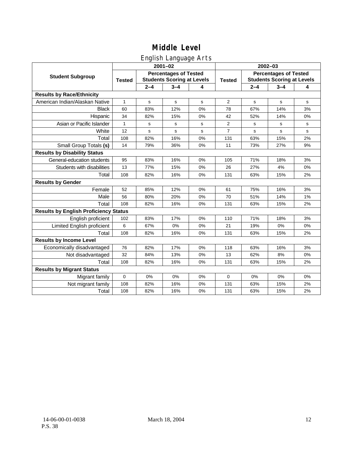### English Language Arts

|                                              |               |             | ັ<br>$2001 - 02$                                                  |       | 2002-03        |                                                                   |             |             |  |
|----------------------------------------------|---------------|-------------|-------------------------------------------------------------------|-------|----------------|-------------------------------------------------------------------|-------------|-------------|--|
| <b>Student Subgroup</b>                      | <b>Tested</b> |             | <b>Percentages of Tested</b><br><b>Students Scoring at Levels</b> |       | <b>Tested</b>  | <b>Percentages of Tested</b><br><b>Students Scoring at Levels</b> |             |             |  |
|                                              |               | $2 - 4$     | $3 - 4$                                                           | 4     |                | $2 - 4$                                                           | $3 - 4$     | 4           |  |
| <b>Results by Race/Ethnicity</b>             |               |             |                                                                   |       |                |                                                                   |             |             |  |
| American Indian/Alaskan Native               | $\mathbf{1}$  | $\mathbf s$ | $\mathbf s$                                                       | s     | 2              | s                                                                 | $\mathbf s$ | $\mathbf s$ |  |
| <b>Black</b>                                 | 60            | 83%         | 12%                                                               | 0%    | 78             | 67%                                                               | 14%         | 3%          |  |
| Hispanic                                     | 34            | 82%         | 15%                                                               | 0%    | 42             | 52%                                                               | 14%         | 0%          |  |
| Asian or Pacific Islander                    | 1             | s           | s                                                                 | s     | 2              | s                                                                 | s           | s           |  |
| White                                        | 12            | s           | $\mathbf s$                                                       | s     | $\overline{7}$ | s                                                                 | s           | $\mathbf s$ |  |
| Total                                        | 108           | 82%         | 16%                                                               | 0%    | 131            | 63%                                                               | 15%         | 2%          |  |
| Small Group Totals (s)                       | 14            | 79%         | 36%                                                               | 0%    | 11             | 73%                                                               | 27%         | 9%          |  |
| <b>Results by Disability Status</b>          |               |             |                                                                   |       |                |                                                                   |             |             |  |
| General-education students                   | 95            | 83%         | 16%                                                               | $0\%$ | 105            | 71%                                                               | 18%         | 3%          |  |
| Students with disabilities                   | 13            | 77%         | 15%                                                               | 0%    | 26             | 27%                                                               | 4%          | 0%          |  |
| Total                                        | 108           | 82%         | 16%                                                               | 0%    | 131            | 63%                                                               | 15%         | 2%          |  |
| <b>Results by Gender</b>                     |               |             |                                                                   |       |                |                                                                   |             |             |  |
| Female                                       | 52            | 85%         | 12%                                                               | 0%    | 61             | 75%                                                               | 16%         | 3%          |  |
| Male                                         | 56            | 80%         | 20%                                                               | 0%    | 70             | 51%                                                               | 14%         | 1%          |  |
| Total                                        | 108           | 82%         | 16%                                                               | 0%    | 131            | 63%                                                               | 15%         | 2%          |  |
| <b>Results by English Proficiency Status</b> |               |             |                                                                   |       |                |                                                                   |             |             |  |
| English proficient                           | 102           | 83%         | 17%                                                               | 0%    | 110            | 71%                                                               | 18%         | 3%          |  |
| Limited English proficient                   | 6             | 67%         | 0%                                                                | 0%    | 21             | 19%                                                               | 0%          | 0%          |  |
| Total                                        | 108           | 82%         | 16%                                                               | 0%    | 131            | 63%                                                               | 15%         | 2%          |  |
| <b>Results by Income Level</b>               |               |             |                                                                   |       |                |                                                                   |             |             |  |
| Economically disadvantaged                   | 76            | 82%         | 17%                                                               | 0%    | 118            | 63%                                                               | 16%         | 3%          |  |
| Not disadvantaged                            | 32            | 84%         | 13%                                                               | 0%    | 13             | 62%                                                               | 8%          | 0%          |  |
| Total                                        | 108           | 82%         | 16%                                                               | 0%    | 131            | 63%                                                               | 15%         | 2%          |  |
| <b>Results by Migrant Status</b>             |               |             |                                                                   |       |                |                                                                   |             |             |  |
| Migrant family                               | $\mathbf 0$   | 0%          | 0%                                                                | 0%    | $\mathbf 0$    | 0%                                                                | 0%          | 0%          |  |
| Not migrant family                           | 108           | 82%         | 16%                                                               | 0%    | 131            | 63%                                                               | 15%         | 2%          |  |
| Total                                        | 108           | 82%         | 16%                                                               | 0%    | 131            | 63%                                                               | 15%         | 2%          |  |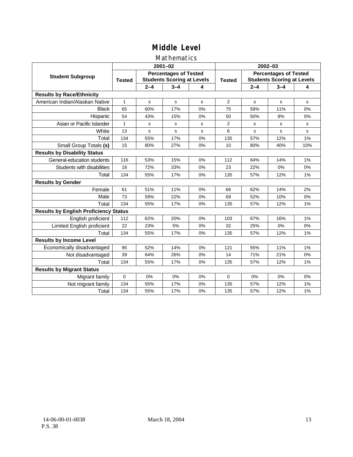### Mathematics

|                                              |               |         | $2001 - 02$                                                       |    | $2002 - 03$    |                                                                   |         |             |  |
|----------------------------------------------|---------------|---------|-------------------------------------------------------------------|----|----------------|-------------------------------------------------------------------|---------|-------------|--|
| <b>Student Subgroup</b>                      | <b>Tested</b> |         | <b>Percentages of Tested</b><br><b>Students Scoring at Levels</b> |    | <b>Tested</b>  | <b>Percentages of Tested</b><br><b>Students Scoring at Levels</b> |         |             |  |
|                                              |               | $2 - 4$ | $3 - 4$                                                           | 4  |                | $2 - 4$                                                           | $3 - 4$ | 4           |  |
| <b>Results by Race/Ethnicity</b>             |               |         |                                                                   |    |                |                                                                   |         |             |  |
| American Indian/Alaskan Native               | 1             | s       | s                                                                 | s  | $\overline{2}$ | s                                                                 | s       | s           |  |
| <b>Black</b>                                 | 65            | 60%     | 17%                                                               | 0% | 75             | 59%                                                               | 11%     | 0%          |  |
| Hispanic                                     | 54            | 43%     | 15%                                                               | 0% | 50             | 50%                                                               | 8%      | 0%          |  |
| Asian or Pacific Islander                    | 1             | s       | s                                                                 | s  | 2              | s                                                                 | s       | s           |  |
| White                                        | 13            | s       | s                                                                 | s  | 6              | s                                                                 | s       | $\mathbf s$ |  |
| Total                                        | 134           | 55%     | 17%                                                               | 0% | 135            | 57%                                                               | 12%     | 1%          |  |
| Small Group Totals (s)                       | 15            | 80%     | 27%                                                               | 0% | 10             | 80%                                                               | 40%     | 10%         |  |
| <b>Results by Disability Status</b>          |               |         |                                                                   |    |                |                                                                   |         |             |  |
| General-education students                   | 116           | 53%     | 15%                                                               | 0% | 112            | 64%                                                               | 14%     | 1%          |  |
| Students with disabilities                   | 18            | 72%     | 33%                                                               | 0% | 23             | 22%                                                               | 0%      | 0%          |  |
| Total                                        | 134           | 55%     | 17%                                                               | 0% | 135            | 57%                                                               | 12%     | 1%          |  |
| <b>Results by Gender</b>                     |               |         |                                                                   |    |                |                                                                   |         |             |  |
| Female                                       | 61            | 51%     | 11%                                                               | 0% | 66             | 62%                                                               | 14%     | 2%          |  |
| Male                                         | 73            | 59%     | 22%                                                               | 0% | 69             | 52%                                                               | 10%     | 0%          |  |
| Total                                        | 134           | 55%     | 17%                                                               | 0% | 135            | 57%                                                               | 12%     | 1%          |  |
| <b>Results by English Proficiency Status</b> |               |         |                                                                   |    |                |                                                                   |         |             |  |
| English proficient                           | 112           | 62%     | 20%                                                               | 0% | 103            | 67%                                                               | 16%     | 1%          |  |
| Limited English proficient                   | 22            | 23%     | 5%                                                                | 0% | 32             | 25%                                                               | 0%      | 0%          |  |
| Total                                        | 134           | 55%     | 17%                                                               | 0% | 135            | 57%                                                               | 12%     | 1%          |  |
| <b>Results by Income Level</b>               |               |         |                                                                   |    |                |                                                                   |         |             |  |
| Economically disadvantaged                   | 95            | 52%     | 14%                                                               | 0% | 121            | 55%                                                               | 11%     | 1%          |  |
| Not disadvantaged                            | 39            | 64%     | 26%                                                               | 0% | 14             | 71%                                                               | 21%     | 0%          |  |
| Total                                        | 134           | 55%     | 17%                                                               | 0% | 135            | 57%                                                               | 12%     | 1%          |  |
| <b>Results by Migrant Status</b>             |               |         |                                                                   |    |                |                                                                   |         |             |  |
| Migrant family                               | $\mathbf 0$   | 0%      | 0%                                                                | 0% | $\Omega$       | 0%                                                                | 0%      | 0%          |  |
| Not migrant family                           | 134           | 55%     | 17%                                                               | 0% | 135            | 57%                                                               | 12%     | 1%          |  |
| Total                                        | 134           | 55%     | 17%                                                               | 0% | 135            | 57%                                                               | 12%     | 1%          |  |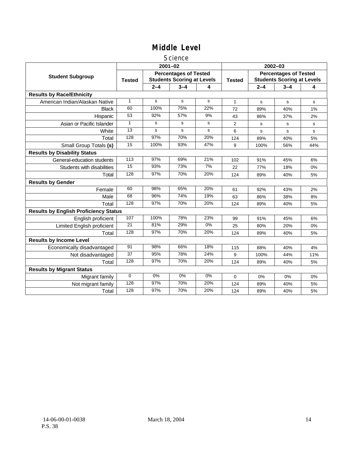#### Science

|                                              |                 |         | $2001 - 02$                                                       |       | $2002 - 03$    |                                                                   |         |     |
|----------------------------------------------|-----------------|---------|-------------------------------------------------------------------|-------|----------------|-------------------------------------------------------------------|---------|-----|
| <b>Student Subgroup</b>                      | <b>Tested</b>   |         | <b>Percentages of Tested</b><br><b>Students Scoring at Levels</b> |       | <b>Tested</b>  | <b>Percentages of Tested</b><br><b>Students Scoring at Levels</b> |         |     |
|                                              |                 | $2 - 4$ | $3 - 4$                                                           | 4     |                | $2 - 4$                                                           | $3 - 4$ | 4   |
| <b>Results by Race/Ethnicity</b>             |                 |         |                                                                   |       |                |                                                                   |         |     |
| American Indian/Alaskan Native               | 1               | s       | s                                                                 | s     | $\mathbf{1}$   | s                                                                 | s       | s   |
| <b>Black</b>                                 | 60              | 100%    | 75%                                                               | 22%   | 72             | 89%                                                               | 40%     | 1%  |
| Hispanic                                     | 53              | 92%     | 57%                                                               | 9%    | 43             | 86%                                                               | 37%     | 2%  |
| Asian or Pacific Islander                    | $\mathbf{1}$    | s       | s                                                                 | s     | $\overline{2}$ | s                                                                 | s       | s   |
| White                                        | 13              | s       | s                                                                 | s     | 6              | $\mathbf s$                                                       | s       | s   |
| Total                                        | 128             | 97%     | 70%                                                               | 20%   | 124            | 89%                                                               | 40%     | 5%  |
| Small Group Totals (s)                       | $\overline{15}$ | 100%    | 93%                                                               | 47%   | 9              | 100%                                                              | 56%     | 44% |
| <b>Results by Disability Status</b>          |                 |         |                                                                   |       |                |                                                                   |         |     |
| General-education students                   | 113             | 97%     | 69%                                                               | 21%   | 102            | 91%                                                               | 45%     | 6%  |
| Students with disabilities                   | 15              | 93%     | 73%                                                               | 7%    | 22             | 77%                                                               | 18%     | 0%  |
| Total                                        | 128             | 97%     | 70%                                                               | 20%   | 124            | 89%                                                               | 40%     | 5%  |
| <b>Results by Gender</b>                     |                 |         |                                                                   |       |                |                                                                   |         |     |
| Female                                       | 60              | 98%     | 65%                                                               | 20%   | 61             | 92%                                                               | 43%     | 2%  |
| Male                                         | 68              | 96%     | 74%                                                               | 19%   | 63             | 86%                                                               | 38%     | 8%  |
| Total                                        | 128             | 97%     | 70%                                                               | 20%   | 124            | 89%                                                               | 40%     | 5%  |
| <b>Results by English Proficiency Status</b> |                 |         |                                                                   |       |                |                                                                   |         |     |
| English proficient                           | 107             | 100%    | 78%                                                               | 23%   | 99             | 91%                                                               | 45%     | 6%  |
| Limited English proficient                   | 21              | 81%     | 29%                                                               | $0\%$ | 25             | 80%                                                               | 20%     | 0%  |
| Total                                        | 128             | 97%     | 70%                                                               | 20%   | 124            | 89%                                                               | 40%     | 5%  |
| <b>Results by Income Level</b>               |                 |         |                                                                   |       |                |                                                                   |         |     |
| Economically disadvantaged                   | 91              | 98%     | 66%                                                               | 18%   | 115            | 88%                                                               | 40%     | 4%  |
| Not disadvantaged                            | 37              | 95%     | 78%                                                               | 24%   | 9              | 100%                                                              | 44%     | 11% |
| Total                                        | 128             | 97%     | 70%                                                               | 20%   | 124            | 89%                                                               | 40%     | 5%  |
| <b>Results by Migrant Status</b>             |                 |         |                                                                   |       |                |                                                                   |         |     |
| Migrant family                               | $\mathbf 0$     | 0%      | 0%                                                                | 0%    | 0              | 0%                                                                | 0%      | 0%  |
| Not migrant family                           | 128             | 97%     | 70%                                                               | 20%   | 124            | 89%                                                               | 40%     | 5%  |
| Total                                        | 128             | 97%     | 70%                                                               | 20%   | 124            | 89%                                                               | 40%     | 5%  |